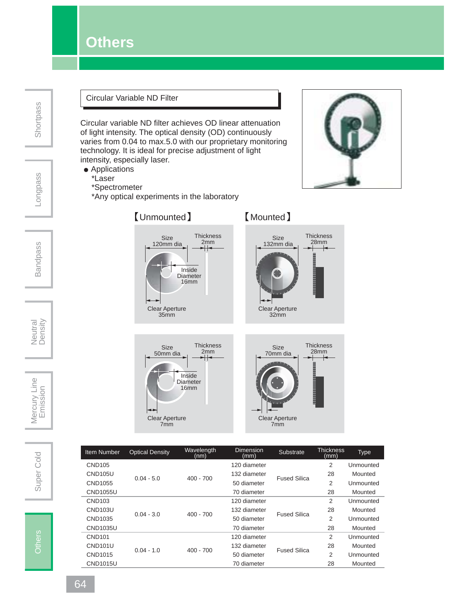### **Others**

Longpass

#### Circular Variable ND Filter

Circular variable ND filter achieves OD linear attenuation of light intensity. The optical density (OD) continuously varies from 0.04 to max.5.0 with our proprietary monitoring technology. It is ideal for precise adjustment of light intensity, especially laser.

- Applications
	- \*Laser
	- \*Spectrometer

\*Any optical experiments in the laboratory





|                    |              | (nm)        | (mm)         |                     | (mm) |           |
|--------------------|--------------|-------------|--------------|---------------------|------|-----------|
| <b>CND105</b>      |              |             | 120 diameter |                     | 2    | Unmounted |
| <b>CND105U</b>     | $0.04 - 5.0$ | $400 - 700$ | 132 diameter | <b>Fused Silica</b> | 28   | Mounted   |
| CND1055            |              |             | 50 diameter  |                     | 2    | Unmounted |
| <b>CND1055U</b>    |              |             | 70 diameter  |                     | 28   | Mounted   |
| CND <sub>103</sub> |              |             | 120 diameter | <b>Fused Silica</b> | 2    | Unmounted |
| <b>CND103U</b>     | $0.04 - 3.0$ | $400 - 700$ | 132 diameter |                     | 28   | Mounted   |
| CND1035            |              |             | 50 diameter  |                     | 2    | Unmounted |
| CND1035U           |              |             | 70 diameter  |                     | 28   | Mounted   |
| <b>CND101</b>      |              |             | 120 diameter | <b>Fused Silica</b> | 2    | Unmounted |
| <b>CND101U</b>     | $0.04 - 1.0$ | $400 - 700$ | 132 diameter |                     | 28   | Mounted   |
| CND1015            |              |             | 50 diameter  |                     | 2    | Unmounted |
| <b>CND1015U</b>    |              |             | 70 diameter  |                     | 28   | Mounted   |





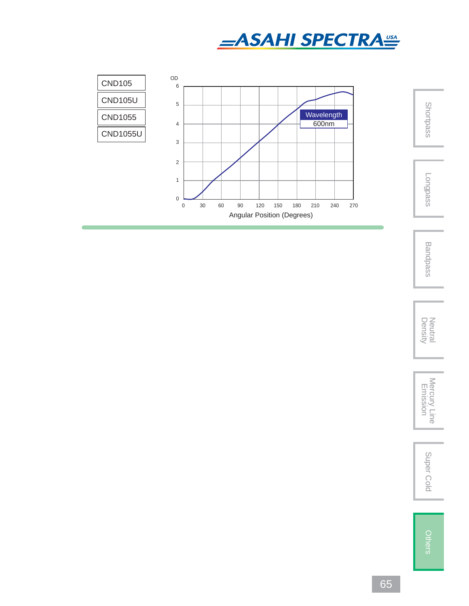



Bandpass

Neutral<br>Density

Density Neutral Mercury Line Emission Super Cold Mercury Line<br>Emission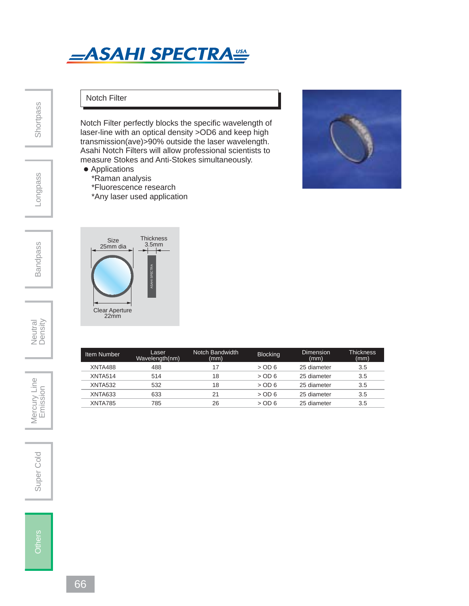## **\_ASAHI SPECTRA<sup>USA</sup>**

Notch Filter perfectly blocks the specific wavelength of laser-line with an optical density >OD6 and keep high transmission(ave)>90% outside the laser wavelength. Asahi Notch Filters will allow professional scientists to measure Stokes and Anti-Stokes simultaneously.

**Shortpass** 

# Longpass

Bandpass

Neutral<br>Density



Super Cold | Mercury Line<br>
Emission

Super Cold





Notch Filter

• Applications

\*Raman analysis

 \*Fluorescence research \*Any laser used application

| Item Number         | Laser<br>Wavelength(nm) | Notch Bandwidth<br>(mm) | <b>Blocking</b> | Dimension<br>(mm) | Thickness.<br>(mm) |
|---------------------|-------------------------|-------------------------|-----------------|-------------------|--------------------|
| XNTA488             | 488                     |                         | $>$ OD 6        | 25 diameter       | 3.5                |
| XNTA514             | 514                     | 18                      | $>$ OD 6        | 25 diameter       | 3.5                |
| XNTA <sub>532</sub> | 532                     | 18                      | $>$ OD 6        | 25 diameter       | 3.5                |
| XNTA633             | 633                     | 21                      | $>$ OD 6        | 25 diameter       | 3.5                |
| XNTA785             | 785                     | 26                      | $>$ OD6         | 25 diameter       | 3.5                |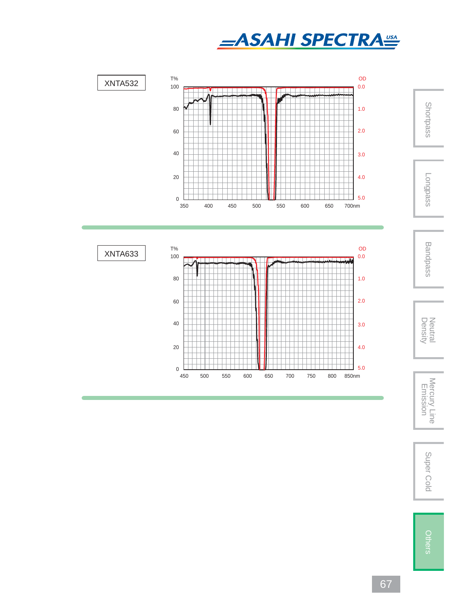





 Bandpass Neutral<br>Density

Density Neutral Mercury Line Emission Super Cold Mercury Line<br>Emission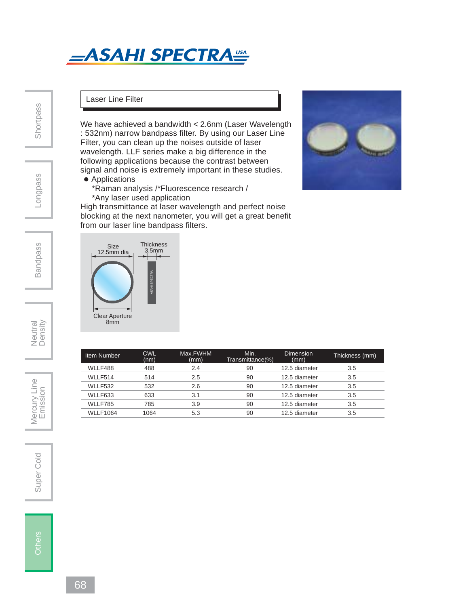## **ASAHI SPECTRA**

**Shortpass** 

## Longpass

#### Laser Line Filter

We have achieved a bandwidth < 2.6nm (Laser Wavelength : 532nm) narrow bandpass filter. By using our Laser Line Filter, you can clean up the noises outside of laser wavelength. LLF series make a big difference in the following applications because the contrast between signal and noise is extremely important in these studies.

- Applications
	- \*Raman analysis /\*Fluorescence research /
	- \*Any laser used application

High transmittance at laser wavelength and perfect noise blocking at the next nanometer, you will get a great benefit from our laser line bandpass filters.



| Item Number     | <b>CWL</b><br>(nm) | Max.FWHM<br>(mm) | Min.<br>Transmittance(%) | Dimension<br>(mm) | Thickness (mm) |
|-----------------|--------------------|------------------|--------------------------|-------------------|----------------|
| WLLF488         | 488                | 2.4              | 90                       | 12.5 diameter     | 3.5            |
| WLLF514         | 514                | 2.5              | 90                       | 12.5 diameter     | 3.5            |
| WLLF532         | 532                | 2.6              | 90                       | 12.5 diameter     | 3.5            |
| WLLF633         | 633                | 3.1              | 90                       | 12.5 diameter     | 3.5            |
| WLLF785         | 785                | 3.9              | 90                       | 12.5 diameter     | 3.5            |
| <b>WLLF1064</b> | 1064               | 5.3              | 90                       | 12.5 diameter     | 3.5            |

Neutral<br>Density

Mercury Line Super Cold | Mercury Line<br>
Emission